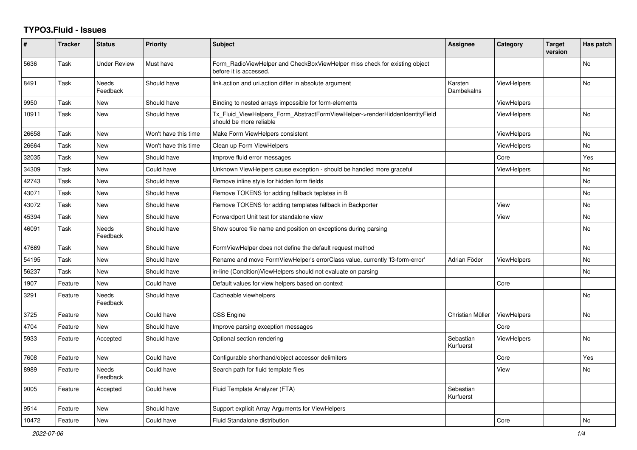## **TYPO3.Fluid - Issues**

| #     | <b>Tracker</b> | <b>Status</b>            | <b>Priority</b>      | <b>Subject</b>                                                                                         | Assignee               | Category           | <b>Target</b><br>version | Has patch      |
|-------|----------------|--------------------------|----------------------|--------------------------------------------------------------------------------------------------------|------------------------|--------------------|--------------------------|----------------|
| 5636  | Task           | Under Review             | Must have            | Form RadioViewHelper and CheckBoxViewHelper miss check for existing object<br>before it is accessed.   |                        |                    |                          | No             |
| 8491  | Task           | <b>Needs</b><br>Feedback | Should have          | link.action and uri.action differ in absolute argument                                                 | Karsten<br>Dambekalns  | <b>ViewHelpers</b> |                          | <b>No</b>      |
| 9950  | Task           | New                      | Should have          | Binding to nested arrays impossible for form-elements                                                  |                        | ViewHelpers        |                          |                |
| 10911 | Task           | New                      | Should have          | Tx_Fluid_ViewHelpers_Form_AbstractFormViewHelper->renderHiddenIdentityField<br>should be more reliable |                        | <b>ViewHelpers</b> |                          | <b>No</b>      |
| 26658 | Task           | New                      | Won't have this time | Make Form ViewHelpers consistent                                                                       |                        | ViewHelpers        |                          | No             |
| 26664 | Task           | New                      | Won't have this time | Clean up Form ViewHelpers                                                                              |                        | <b>ViewHelpers</b> |                          | No             |
| 32035 | Task           | New                      | Should have          | Improve fluid error messages                                                                           |                        | Core               |                          | Yes            |
| 34309 | Task           | New                      | Could have           | Unknown ViewHelpers cause exception - should be handled more graceful                                  |                        | ViewHelpers        |                          | <b>No</b>      |
| 42743 | Task           | New                      | Should have          | Remove inline style for hidden form fields                                                             |                        |                    |                          | No             |
| 43071 | Task           | New                      | Should have          | Remove TOKENS for adding fallback teplates in B                                                        |                        |                    |                          | No             |
| 43072 | Task           | New                      | Should have          | Remove TOKENS for adding templates fallback in Backporter                                              |                        | View               |                          | No             |
| 45394 | Task           | New                      | Should have          | Forwardport Unit test for standalone view                                                              |                        | View               |                          | No             |
| 46091 | Task           | Needs<br>Feedback        | Should have          | Show source file name and position on exceptions during parsing                                        |                        |                    |                          | No             |
| 47669 | Task           | New                      | Should have          | FormViewHelper does not define the default request method                                              |                        |                    |                          | <b>No</b>      |
| 54195 | Task           | New                      | Should have          | Rename and move FormViewHelper's errorClass value, currently 'f3-form-error'                           | Adrian Föder           | <b>ViewHelpers</b> |                          | No             |
| 56237 | Task           | New                      | Should have          | in-line (Condition) View Helpers should not evaluate on parsing                                        |                        |                    |                          | No             |
| 1907  | Feature        | <b>New</b>               | Could have           | Default values for view helpers based on context                                                       |                        | Core               |                          |                |
| 3291  | Feature        | <b>Needs</b><br>Feedback | Should have          | Cacheable viewhelpers                                                                                  |                        |                    |                          | N <sub>o</sub> |
| 3725  | Feature        | <b>New</b>               | Could have           | CSS Engine                                                                                             | Christian Müller       | ViewHelpers        |                          | <b>No</b>      |
| 4704  | Feature        | New                      | Should have          | Improve parsing exception messages                                                                     |                        | Core               |                          |                |
| 5933  | Feature        | Accepted                 | Should have          | Optional section rendering                                                                             | Sebastian<br>Kurfuerst | <b>ViewHelpers</b> |                          | <b>No</b>      |
| 7608  | Feature        | New                      | Could have           | Configurable shorthand/object accessor delimiters                                                      |                        | Core               |                          | Yes            |
| 8989  | Feature        | Needs<br>Feedback        | Could have           | Search path for fluid template files                                                                   |                        | View               |                          | No             |
| 9005  | Feature        | Accepted                 | Could have           | Fluid Template Analyzer (FTA)                                                                          | Sebastian<br>Kurfuerst |                    |                          |                |
| 9514  | Feature        | <b>New</b>               | Should have          | Support explicit Array Arguments for ViewHelpers                                                       |                        |                    |                          |                |
| 10472 | Feature        | <b>New</b>               | Could have           | Fluid Standalone distribution                                                                          |                        | Core               |                          | <b>No</b>      |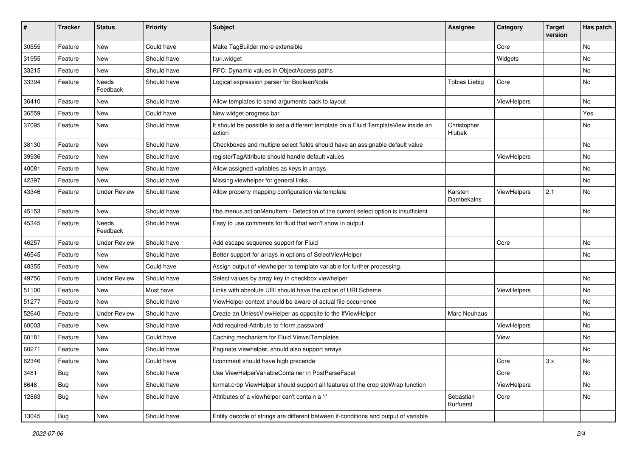| $\#$  | <b>Tracker</b> | <b>Status</b>       | <b>Priority</b> | <b>Subject</b>                                                                                | <b>Assignee</b>        | Category           | <b>Target</b><br>version | Has patch |
|-------|----------------|---------------------|-----------------|-----------------------------------------------------------------------------------------------|------------------------|--------------------|--------------------------|-----------|
| 30555 | Feature        | New                 | Could have      | Make TagBuilder more extensible                                                               |                        | Core               |                          | <b>No</b> |
| 31955 | Feature        | New                 | Should have     | f:uri.widget                                                                                  |                        | Widgets            |                          | No        |
| 33215 | Feature        | New                 | Should have     | RFC: Dynamic values in ObjectAccess paths                                                     |                        |                    |                          | No        |
| 33394 | Feature        | Needs<br>Feedback   | Should have     | Logical expression parser for BooleanNode                                                     | <b>Tobias Liebig</b>   | Core               |                          | No        |
| 36410 | Feature        | New                 | Should have     | Allow templates to send arguments back to layout                                              |                        | ViewHelpers        |                          | No        |
| 36559 | Feature        | New                 | Could have      | New widget progress bar                                                                       |                        |                    |                          | Yes       |
| 37095 | Feature        | New                 | Should have     | It should be possible to set a different template on a Fluid TemplateView inside an<br>action | Christopher<br>Hlubek  |                    |                          | No        |
| 38130 | Feature        | New                 | Should have     | Checkboxes and multiple select fields should have an assignable default value                 |                        |                    |                          | No        |
| 39936 | Feature        | New                 | Should have     | registerTagAttribute should handle default values                                             |                        | ViewHelpers        |                          | No        |
| 40081 | Feature        | New                 | Should have     | Allow assigned variables as keys in arrays                                                    |                        |                    |                          | No        |
| 42397 | Feature        | New                 | Should have     | Missing viewhelper for general links                                                          |                        |                    |                          | No        |
| 43346 | Feature        | <b>Under Review</b> | Should have     | Allow property mapping configuration via template                                             | Karsten<br>Dambekalns  | ViewHelpers        | 2.1                      | No        |
| 45153 | Feature        | New                 | Should have     | f:be.menus.actionMenuItem - Detection of the current select option is insufficient            |                        |                    |                          | No        |
| 45345 | Feature        | Needs<br>Feedback   | Should have     | Easy to use comments for fluid that won't show in output                                      |                        |                    |                          |           |
| 46257 | Feature        | Under Review        | Should have     | Add escape sequence support for Fluid                                                         |                        | Core               |                          | No        |
| 46545 | Feature        | New                 | Should have     | Better support for arrays in options of SelectViewHelper                                      |                        |                    |                          | No        |
| 48355 | Feature        | New                 | Could have      | Assign output of viewhelper to template variable for further processing.                      |                        |                    |                          |           |
| 49756 | Feature        | <b>Under Review</b> | Should have     | Select values by array key in checkbox viewhelper                                             |                        |                    |                          | No        |
| 51100 | Feature        | New                 | Must have       | Links with absolute URI should have the option of URI Scheme                                  |                        | <b>ViewHelpers</b> |                          | No        |
| 51277 | Feature        | New                 | Should have     | ViewHelper context should be aware of actual file occurrence                                  |                        |                    |                          | No        |
| 52640 | Feature        | <b>Under Review</b> | Should have     | Create an UnlessViewHelper as opposite to the IfViewHelper                                    | Marc Neuhaus           |                    |                          | No        |
| 60003 | Feature        | New                 | Should have     | Add required-Attribute to f:form.password                                                     |                        | ViewHelpers        |                          | No        |
| 60181 | Feature        | New                 | Could have      | Caching mechanism for Fluid Views/Templates                                                   |                        | View               |                          | No        |
| 60271 | Feature        | New                 | Should have     | Paginate viewhelper, should also support arrays                                               |                        |                    |                          | No        |
| 62346 | Feature        | New                 | Could have      | f:comment should have high precende                                                           |                        | Core               | 3.x                      | No        |
| 3481  | Bug            | New                 | Should have     | Use ViewHelperVariableContainer in PostParseFacet                                             |                        | Core               |                          | No        |
| 8648  | Bug            | New                 | Should have     | format.crop ViewHelper should support all features of the crop stdWrap function               |                        | ViewHelpers        |                          | No        |
| 12863 | Bug            | New                 | Should have     | Attributes of a viewhelper can't contain a '-'                                                | Sebastian<br>Kurfuerst | Core               |                          | No        |
| 13045 | <b>Bug</b>     | New                 | Should have     | Entity decode of strings are different between if-conditions and output of variable           |                        |                    |                          |           |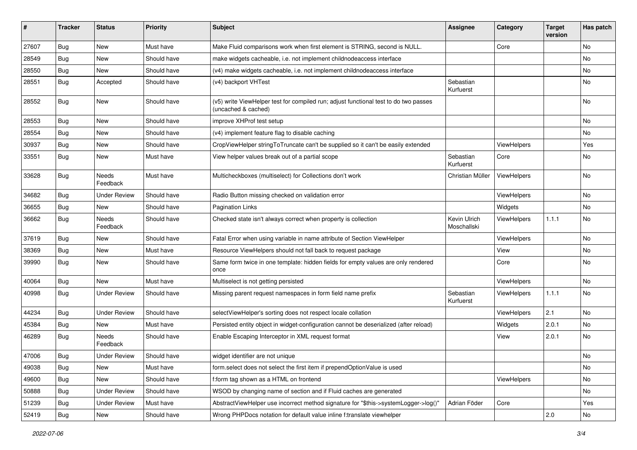| ∦     | <b>Tracker</b> | <b>Status</b>            | <b>Priority</b> | <b>Subject</b>                                                                                              | <b>Assignee</b>             | Category    | <b>Target</b><br>version | Has patch |
|-------|----------------|--------------------------|-----------------|-------------------------------------------------------------------------------------------------------------|-----------------------------|-------------|--------------------------|-----------|
| 27607 | Bug            | New                      | Must have       | Make Fluid comparisons work when first element is STRING, second is NULL.                                   |                             | Core        |                          | No        |
| 28549 | Bug            | New                      | Should have     | make widgets cacheable, i.e. not implement childnodeaccess interface                                        |                             |             |                          | No        |
| 28550 | Bug            | New                      | Should have     | (v4) make widgets cacheable, i.e. not implement childnodeaccess interface                                   |                             |             |                          | No        |
| 28551 | Bug            | Accepted                 | Should have     | (v4) backport VHTest                                                                                        | Sebastian<br>Kurfuerst      |             |                          | No        |
| 28552 | Bug            | <b>New</b>               | Should have     | (v5) write ViewHelper test for compiled run; adjust functional test to do two passes<br>(uncached & cached) |                             |             |                          | No        |
| 28553 | Bug            | New                      | Should have     | improve XHProf test setup                                                                                   |                             |             |                          | No.       |
| 28554 | Bug            | New                      | Should have     | (v4) implement feature flag to disable caching                                                              |                             |             |                          | No        |
| 30937 | Bug            | New                      | Should have     | CropViewHelper stringToTruncate can't be supplied so it can't be easily extended                            |                             | ViewHelpers |                          | Yes       |
| 33551 | Bug            | New                      | Must have       | View helper values break out of a partial scope                                                             | Sebastian<br>Kurfuerst      | Core        |                          | No        |
| 33628 | Bug            | Needs<br>Feedback        | Must have       | Multicheckboxes (multiselect) for Collections don't work                                                    | Christian Müller            | ViewHelpers |                          | No        |
| 34682 | Bug            | <b>Under Review</b>      | Should have     | Radio Button missing checked on validation error                                                            |                             | ViewHelpers |                          | No        |
| 36655 | Bug            | New                      | Should have     | <b>Pagination Links</b>                                                                                     |                             | Widgets     |                          | No.       |
| 36662 | Bug            | <b>Needs</b><br>Feedback | Should have     | Checked state isn't always correct when property is collection                                              | Kevin Ulrich<br>Moschallski | ViewHelpers | 1.1.1                    | No        |
| 37619 | Bug            | New                      | Should have     | Fatal Error when using variable in name attribute of Section ViewHelper                                     |                             | ViewHelpers |                          | No        |
| 38369 | Bug            | New                      | Must have       | Resource ViewHelpers should not fall back to request package                                                |                             | View        |                          | No        |
| 39990 | Bug            | New                      | Should have     | Same form twice in one template: hidden fields for empty values are only rendered<br>once                   |                             | Core        |                          | No        |
| 40064 | Bug            | New                      | Must have       | Multiselect is not getting persisted                                                                        |                             | ViewHelpers |                          | No        |
| 40998 | Bug            | <b>Under Review</b>      | Should have     | Missing parent request namespaces in form field name prefix                                                 | Sebastian<br>Kurfuerst      | ViewHelpers | 1.1.1                    | No        |
| 44234 | Bug            | <b>Under Review</b>      | Should have     | selectViewHelper's sorting does not respect locale collation                                                |                             | ViewHelpers | 2.1                      | <b>No</b> |
| 45384 | Bug            | New                      | Must have       | Persisted entity object in widget-configuration cannot be deserialized (after reload)                       |                             | Widgets     | 2.0.1                    | No        |
| 46289 | Bug            | Needs<br>Feedback        | Should have     | Enable Escaping Interceptor in XML request format                                                           |                             | View        | 2.0.1                    | No        |
| 47006 | Bug            | <b>Under Review</b>      | Should have     | widget identifier are not unique                                                                            |                             |             |                          | No        |
| 49038 | <b>Bug</b>     | New                      | Must have       | form.select does not select the first item if prependOptionValue is used                                    |                             |             |                          | No        |
| 49600 | <b>Bug</b>     | New                      | Should have     | f:form tag shown as a HTML on frontend                                                                      |                             | ViewHelpers |                          | No        |
| 50888 | <b>Bug</b>     | <b>Under Review</b>      | Should have     | WSOD by changing name of section and if Fluid caches are generated                                          |                             |             |                          | No        |
| 51239 | <b>Bug</b>     | <b>Under Review</b>      | Must have       | AbstractViewHelper use incorrect method signature for "\$this->systemLogger->log()"                         | Adrian Föder                | Core        |                          | Yes       |
| 52419 | Bug            | New                      | Should have     | Wrong PHPDocs notation for default value inline f:translate viewhelper                                      |                             |             | 2.0                      | No        |